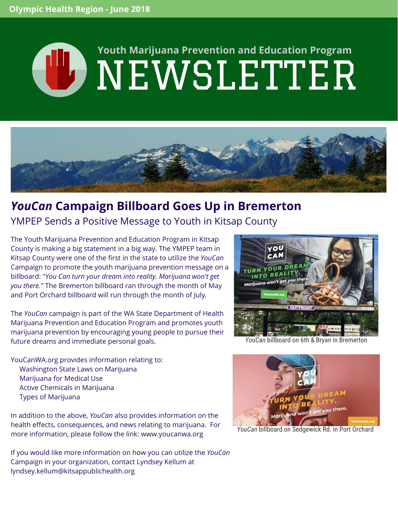# **WEWSLETTER Youth Marijuana Prevention and Education Program**



## *YouCan* **Campaign Billboard Goes Up in Bremerton**

#### YMPEP Sends a Positive Message to Youth in Kitsap County

The Youth Marijuana Prevention and Education Program in Kitsap County is making a big statement in a big way. The YMPEP team in Kitsap County were one of the first in the state to utilize the *YouCan* Campaign to promote the youth marijuana prevention message on a billboard: "*You Can turn your dream into reality. Marijuana won't get you there."* The Bremerton billboard ran through the month of May and Port Orchard billboard will run through the month of July*.*

The *YouCan* campaign is part of the WA State Department of Health Marijuana Prevention and Education Program and promotes youth marijuana prevention by encouraging young people to pursue their future dreams and immediate personal goals.

YouCanWA.org provides information relating to:

- Washington State Laws on Marijuana
- Marijuana for Medical Use
- Active Chemicals in Marijuana
- Types of Marijuana

In addition to the above, *YouCan* also provides information on the health effects, consequences, and news relating to marijuana. For more information, please follow the link: [www.youcanwa.org](http://www.youcanwa.org/)

If you would like more information on how you can utilize the *YouCan* Campaign in your organization, contact Lyndsey Kellum at [lyndsey.kellum@kitsappublichealth.org](mailto:lyndsey.kellum@kitsappublichealth.orgI)



*YouCan* billboard on 6th & Bryan in Bremerton



*YouCan* billboard on Sedgewick Rd. in Port Orchard